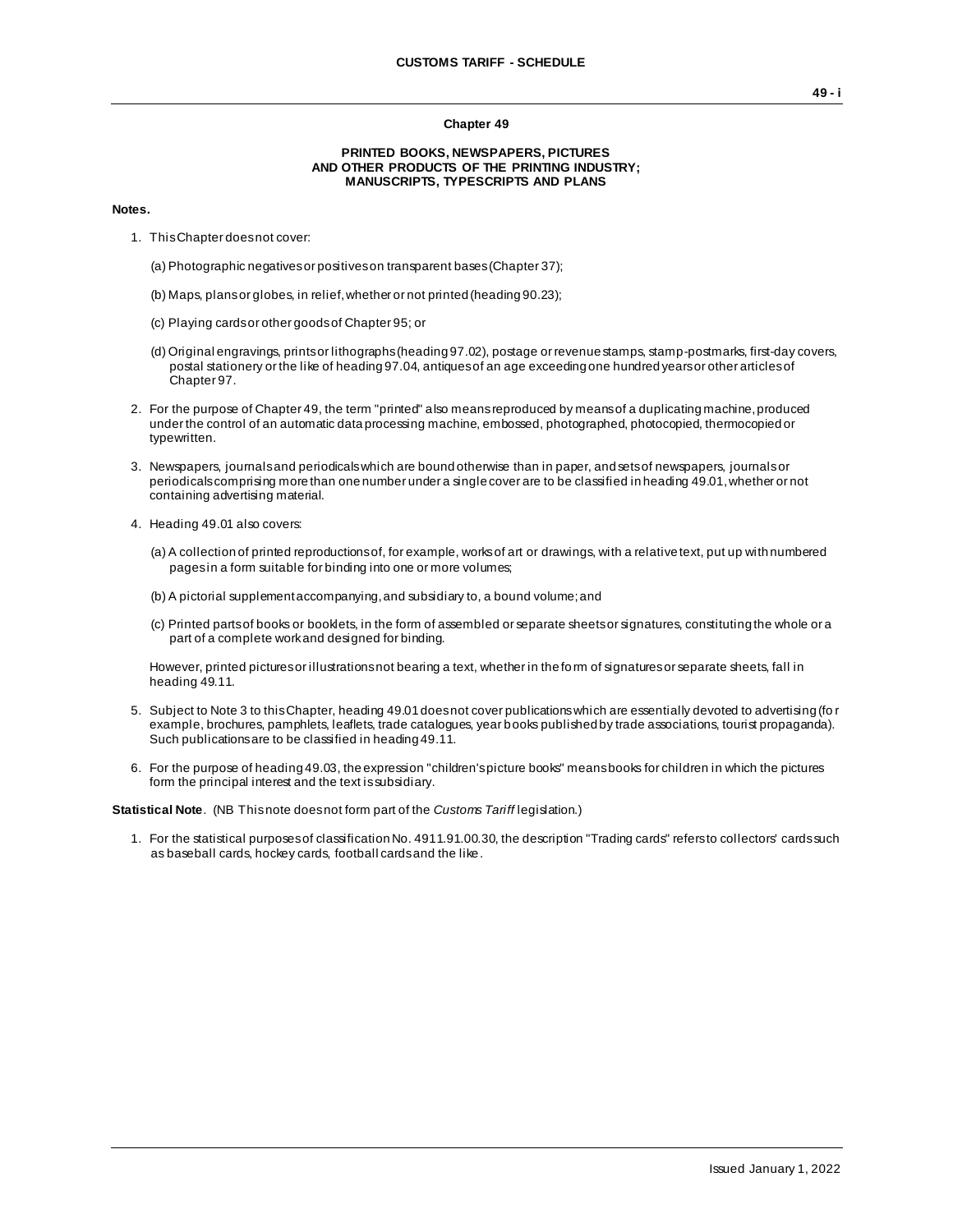## **Chapter 49**

## **PRINTED BOOKS, NEWSPAPERS, PICTURES AND OTHER PRODUCTS OF THE PRINTING INDUSTRY; MANUSCRIPTS, TYPESCRIPTS AND PLANS**

## **Notes.**

- 1. This Chapter does not cover:
	- (a) Photographic negatives or positives on transparent bases (Chapter 37);
	- (b) Maps, plans or globes, in relief, whether or not printed (heading 90.23);
	- (c) Playing cards or other goods of Chapter 95; or
	- (d) Original engravings, prints or lithographs (heading 97.02), postage or revenue stamps, stamp-postmarks, first-day covers, postal stationery or the like of heading 97.04, antiques of an age exceeding one hundred years or other articles of Chapter 97.
- 2. For the purpose of Chapter 49, the term "printed" also means reproduced by means of a duplicating machine, produced under the control of an automatic data processing machine, embossed, photographed, photocopied, thermocopied or typewritten.
- 3. Newspapers, journals and periodicals which are bound otherwise than in paper, and sets of newspapers, journals or periodicals comprising more than one number under a single cover are to be classified in heading 49.01, whether or not containing advertising material.
- 4. Heading 49.01 also covers:
	- (a) A collection of printed reproductions of, for example, works of art or drawings, with a relative text, put up with numbered pages in a form suitable for binding into one or more volumes;
	- (b) A pictorial supplement accompanying, and subsidiary to, a bound volume; and
	- (c) Printed parts of books or booklets, in the form of assembled or separate sheets or signatures, constituting the whole or a part of a complete work and designed for binding.

However, printed pictures or illustrations not bearing a text, whether in the form of signatures or separate sheets, fall in heading 49.11.

- 5. Subject to Note 3 to this Chapter, heading 49.01 does not cover publications which are essentially devoted to advertising (fo r example, brochures, pamphlets, leaflets, trade catalogues, year books published by trade associations, tourist propaganda). Such publications are to be classified in heading 49.11.
- 6. For the purpose of heading 49.03, the expression "children's picture books" means books for children in which the pictures form the principal interest and the text is subsidiary.

**Statistical Note**. (NB This note does not form part of the *Customs Tariff* legislation.)

1. For the statistical purposes of classification No. 4911.91.00.30, the description "Trading cards" refers to collectors' cards such as baseball cards, hockey cards, football cards and the like.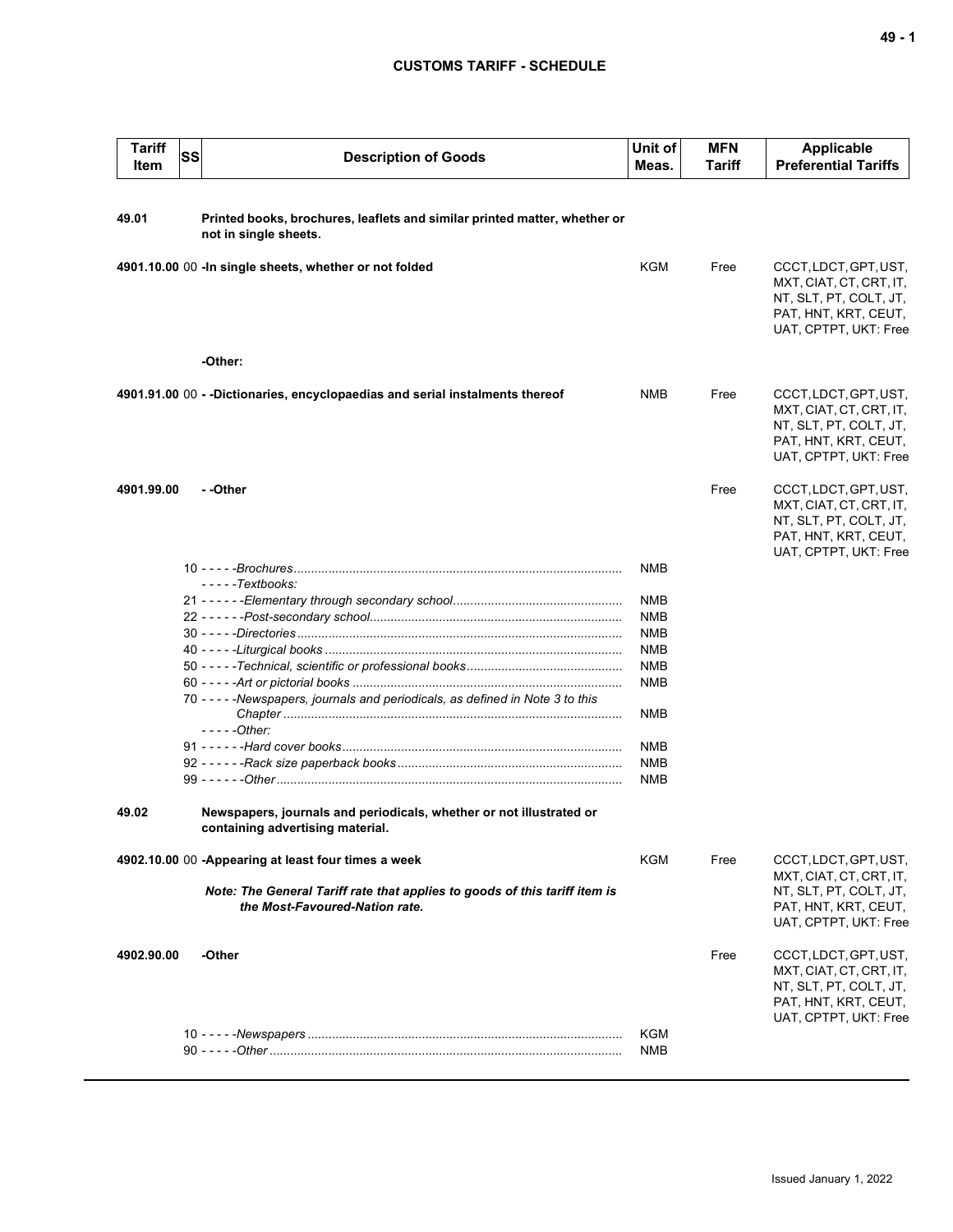## **CUSTOMS TARIFF - SCHEDULE**

| <b>Tariff</b><br>Item | SS | <b>Description of Goods</b>                                                                                  | Unit of<br>Meas. | <b>MFN</b><br>Tariff | <b>Applicable</b><br><b>Preferential Tariffs</b>                                                                            |
|-----------------------|----|--------------------------------------------------------------------------------------------------------------|------------------|----------------------|-----------------------------------------------------------------------------------------------------------------------------|
| 49.01                 |    | Printed books, brochures, leaflets and similar printed matter, whether or                                    |                  |                      |                                                                                                                             |
|                       |    | not in single sheets.                                                                                        |                  |                      |                                                                                                                             |
|                       |    | 4901.10.00 00 - In single sheets, whether or not folded                                                      | <b>KGM</b>       | Free                 | CCCT, LDCT, GPT, UST,<br>MXT, CIAT, CT, CRT, IT,<br>NT, SLT, PT, COLT, JT,<br>PAT, HNT, KRT, CEUT,<br>UAT, CPTPT, UKT: Free |
|                       |    | -Other:                                                                                                      |                  |                      |                                                                                                                             |
|                       |    | 4901.91.00 00 - -Dictionaries, encyclopaedias and serial instalments thereof                                 | NMB              | Free                 | CCCT, LDCT, GPT, UST,<br>MXT, CIAT, CT, CRT, IT,<br>NT, SLT, PT, COLT, JT,<br>PAT, HNT, KRT, CEUT,<br>UAT, CPTPT, UKT: Free |
| 4901.99.00            |    | - -Other                                                                                                     |                  | Free                 | CCCT, LDCT, GPT, UST,<br>MXT, CIAT, CT, CRT, IT,<br>NT, SLT, PT, COLT, JT,<br>PAT, HNT, KRT, CEUT,<br>UAT, CPTPT, UKT: Free |
|                       |    |                                                                                                              | NMB              |                      |                                                                                                                             |
|                       |    | - - - - - Textbooks:                                                                                         | NMB              |                      |                                                                                                                             |
|                       |    |                                                                                                              | <b>NMB</b>       |                      |                                                                                                                             |
|                       |    |                                                                                                              | <b>NMB</b>       |                      |                                                                                                                             |
|                       |    |                                                                                                              | <b>NMB</b>       |                      |                                                                                                                             |
|                       |    |                                                                                                              | <b>NMB</b>       |                      |                                                                                                                             |
|                       |    |                                                                                                              | <b>NMB</b>       |                      |                                                                                                                             |
|                       |    | 70 - - - - - Newspapers, journals and periodicals, as defined in Note 3 to this                              | NMB              |                      |                                                                                                                             |
|                       |    | $---Other:$                                                                                                  |                  |                      |                                                                                                                             |
|                       |    |                                                                                                              | NMB              |                      |                                                                                                                             |
|                       |    |                                                                                                              | <b>NMB</b>       |                      |                                                                                                                             |
|                       |    |                                                                                                              | NMB              |                      |                                                                                                                             |
| 49.02                 |    | Newspapers, journals and periodicals, whether or not illustrated or<br>containing advertising material.      |                  |                      |                                                                                                                             |
|                       |    | 4902.10.00 00 -Appearing at least four times a week                                                          | KGM              | Free                 | CCCT, LDCT, GPT, UST,<br>MXT, CIAT, CT, CRT, IT,                                                                            |
|                       |    | Note: The General Tariff rate that applies to goods of this tariff item is<br>the Most-Favoured-Nation rate. |                  |                      | NT, SLT, PT, COLT, JT,<br>PAT, HNT, KRT, CEUT,<br>UAT, CPTPT, UKT: Free                                                     |
| 4902.90.00            |    | -Other                                                                                                       |                  | Free                 | CCCT, LDCT, GPT, UST,<br>MXT, CIAT, CT, CRT, IT,<br>NT, SLT, PT, COLT, JT,<br>PAT, HNT, KRT, CEUT,<br>UAT, CPTPT, UKT: Free |
|                       |    |                                                                                                              | <b>KGM</b>       |                      |                                                                                                                             |
|                       |    |                                                                                                              | NMB              |                      |                                                                                                                             |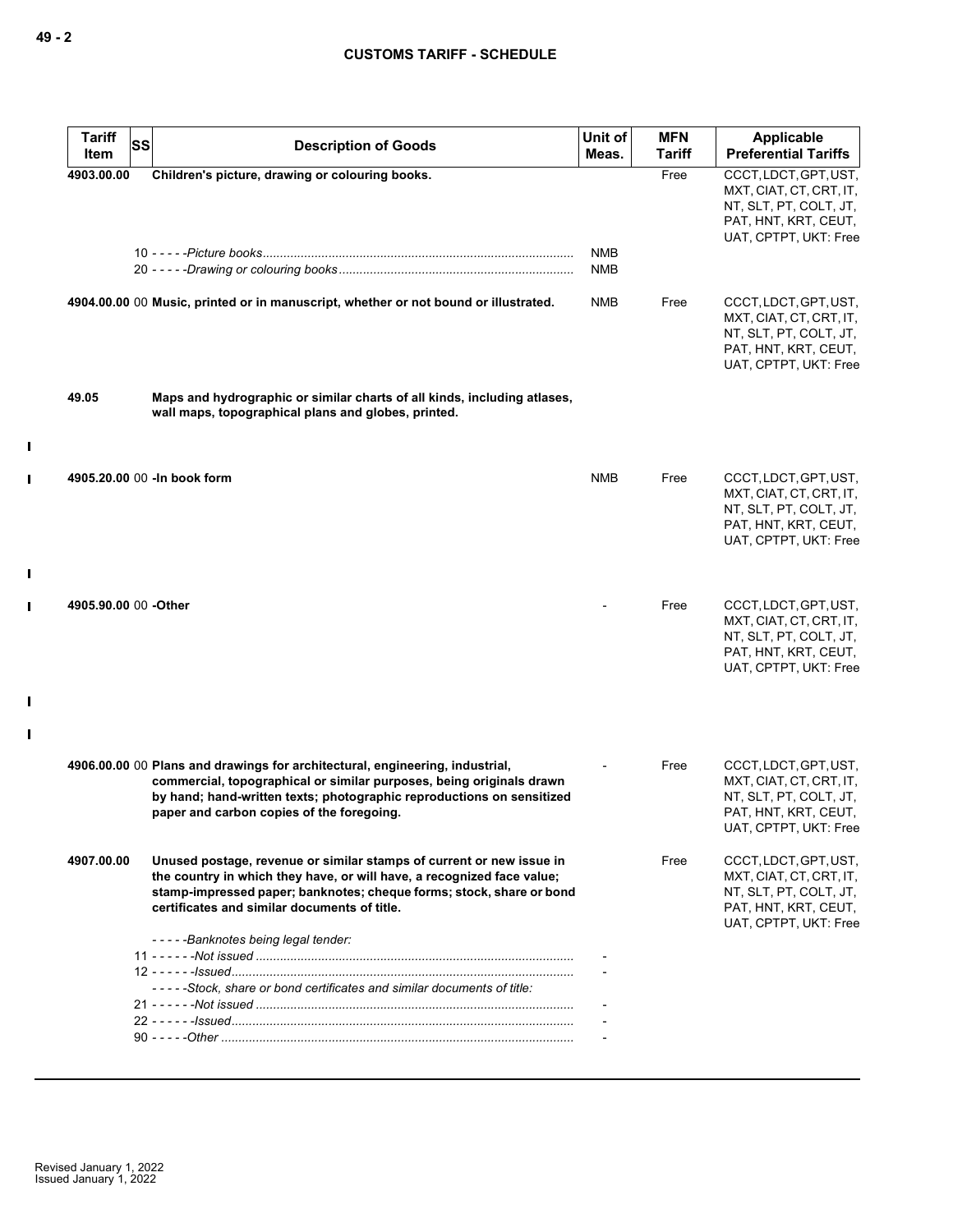| <b>Tariff</b><br>Item | <b>SS</b> | <b>Description of Goods</b>                                                                                                                                                                                                                                                | Unit of<br>Meas.         | <b>MFN</b><br>Tariff | Applicable<br><b>Preferential Tariffs</b>                                                                                   |
|-----------------------|-----------|----------------------------------------------------------------------------------------------------------------------------------------------------------------------------------------------------------------------------------------------------------------------------|--------------------------|----------------------|-----------------------------------------------------------------------------------------------------------------------------|
| 4903.00.00            |           | Children's picture, drawing or colouring books.                                                                                                                                                                                                                            |                          | Free                 | CCCT, LDCT, GPT, UST,<br>MXT, CIAT, CT, CRT, IT,<br>NT, SLT, PT, COLT, JT,<br>PAT, HNT, KRT, CEUT,<br>UAT, CPTPT, UKT: Free |
|                       |           |                                                                                                                                                                                                                                                                            | <b>NMB</b><br><b>NMB</b> |                      |                                                                                                                             |
|                       |           | 4904.00.00 00 Music, printed or in manuscript, whether or not bound or illustrated.                                                                                                                                                                                        | NMB                      | Free                 | CCCT, LDCT, GPT, UST,<br>MXT, CIAT, CT, CRT, IT,<br>NT, SLT, PT, COLT, JT,<br>PAT, HNT, KRT, CEUT,<br>UAT, CPTPT, UKT: Free |
| 49.05                 |           | Maps and hydrographic or similar charts of all kinds, including atlases,<br>wall maps, topographical plans and globes, printed.                                                                                                                                            |                          |                      |                                                                                                                             |
|                       |           | 4905.20.00 00 - In book form                                                                                                                                                                                                                                               | <b>NMB</b>               | Free                 | CCCT, LDCT, GPT, UST,<br>MXT, CIAT, CT, CRT, IT,<br>NT, SLT, PT, COLT, JT,<br>PAT, HNT, KRT, CEUT,<br>UAT, CPTPT, UKT: Free |
| 4905.90.00 00 -Other  |           |                                                                                                                                                                                                                                                                            |                          | Free                 | CCCT, LDCT, GPT, UST,<br>MXT, CIAT, CT, CRT, IT,<br>NT, SLT, PT, COLT, JT,<br>PAT, HNT, KRT, CEUT,<br>UAT, CPTPT, UKT: Free |
|                       |           | 4906.00.00 00 Plans and drawings for architectural, engineering, industrial,<br>commercial, topographical or similar purposes, being originals drawn<br>by hand; hand-written texts; photographic reproductions on sensitized<br>paper and carbon copies of the foregoing. |                          | Free                 | CCCT, LDCT, GPT, UST,<br>MXT, CIAT, CT, CRT, IT,<br>NT, SLT, PT, COLT, JT,<br>PAT, HNT, KRT, CEUT,<br>UAT, CPTPT, UKT: Free |
| 4907.00.00            |           | Unused postage, revenue or similar stamps of current or new issue in<br>the country in which they have, or will have, a recognized face value;<br>stamp-impressed paper; banknotes; cheque forms; stock, share or bond<br>certificates and similar documents of title.     |                          | Free                 | CCCT, LDCT, GPT, UST,<br>MXT, CIAT, CT, CRT, IT,<br>NT, SLT, PT, COLT, JT,<br>PAT, HNT, KRT, CEUT,<br>UAT, CPTPT, UKT: Free |
|                       |           | -----Banknotes being legal tender:<br>-----Stock, share or bond certificates and similar documents of title:                                                                                                                                                               |                          |                      |                                                                                                                             |
|                       |           |                                                                                                                                                                                                                                                                            |                          |                      |                                                                                                                             |

 $\mathbf{I}$ 

 $\mathbf{I}$ 

 $\mathbf{I}$ 

 $\mathbf{I}$ 

 $\mathbf{I}$ 

 $\mathbf{I}$